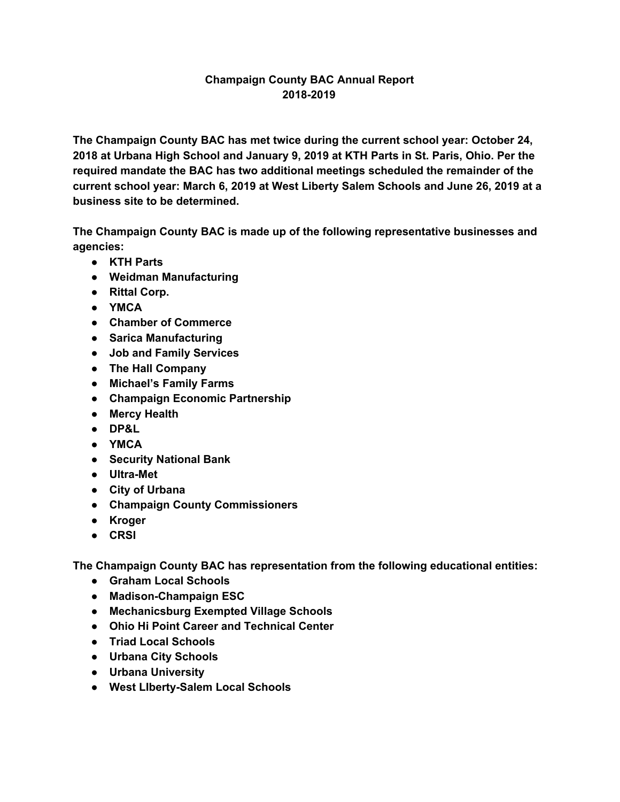## **Champaign County BAC Annual Report 2018-2019**

**The Champaign County BAC has met twice during the current school year: October 24, 2018 at Urbana High School and January 9, 2019 at KTH Parts in St. Paris, Ohio. Per the required mandate the BAC has two additional meetings scheduled the remainder of the current school year: March 6, 2019 at West Liberty Salem Schools and June 26, 2019 at a business site to be determined.**

**The Champaign County BAC is made up of the following representative businesses and agencies:**

- **● KTH Parts**
- **● Weidman Manufacturing**
- **● Rittal Corp.**
- **● YMCA**
- **● Chamber of Commerce**
- **● Sarica Manufacturing**
- **● Job and Family Services**
- **● The Hall Company**
- **● Michael's Family Farms**
- **● Champaign Economic Partnership**
- **● Mercy Health**
- **● DP&L**
- **● YMCA**
- **● Security National Bank**
- **● Ultra-Met**
- **● City of Urbana**
- **● Champaign County Commissioners**
- **● Kroger**
- **● CRSI**

**The Champaign County BAC has representation from the following educational entities:**

- **● Graham Local Schools**
- **● Madison-Champaign ESC**
- **● Mechanicsburg Exempted Village Schools**
- **● Ohio Hi Point Career and Technical Center**
- **● Triad Local Schools**
- **● Urbana City Schools**
- **● Urbana University**
- **● West LIberty-Salem Local Schools**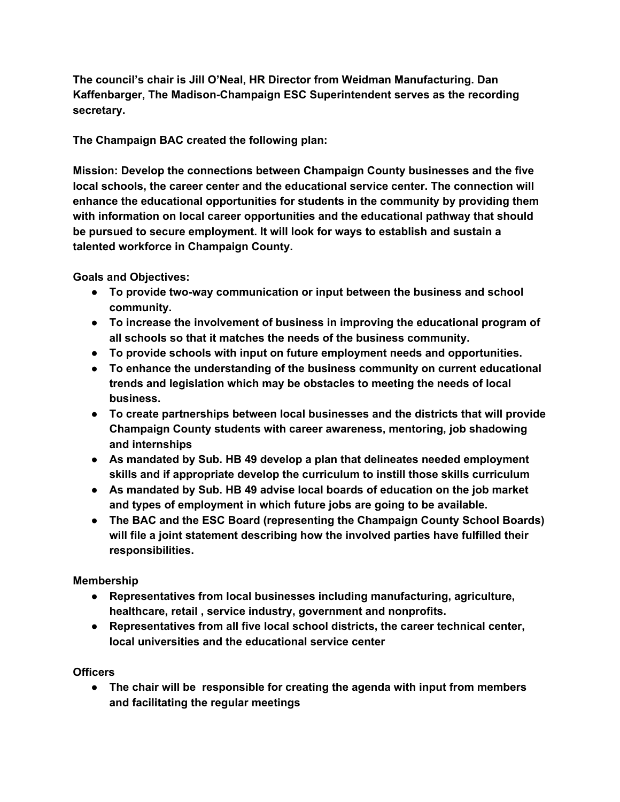**The council's chair is Jill O'Neal, HR Director from Weidman Manufacturing. Dan Kaffenbarger, The Madison-Champaign ESC Superintendent serves as the recording secretary.**

**The Champaign BAC created the following plan:**

**Mission: Develop the connections between Champaign County businesses and the five local schools, the career center and the educational service center. The connection will enhance the educational opportunities for students in the community by providing them with information on local career opportunities and the educational pathway that should be pursued to secure employment. It will look for ways to establish and sustain a talented workforce in Champaign County.**

**Goals and Objectives:**

- **● To provide two-way communication or input between the business and school community.**
- **● To increase the involvement of business in improving the educational program of all schools so that it matches the needs of the business community.**
- **● To provide schools with input on future employment needs and opportunities.**
- **● To enhance the understanding of the business community on current educational trends and legislation which may be obstacles to meeting the needs of local business.**
- **● To create partnerships between local businesses and the districts that will provide Champaign County students with career awareness, mentoring, job shadowing and internships**
- **● As mandated by Sub. HB 49 develop a plan that delineates needed employment skills and if appropriate develop the curriculum to instill those skills curriculum**
- **● As mandated by Sub. HB 49 advise local boards of education on the job market and types of employment in which future jobs are going to be available.**
- **● The BAC and the ESC Board (representing the Champaign County School Boards) will file a joint statement describing how the involved parties have fulfilled their responsibilities.**

# **Membership**

- **● Representatives from local businesses including manufacturing, agriculture, healthcare, retail , service industry, government and nonprofits.**
- **● Representatives from all five local school districts, the career technical center, local universities and the educational service center**

#### **Officers**

**● The chair will be responsible for creating the agenda with input from members and facilitating the regular meetings**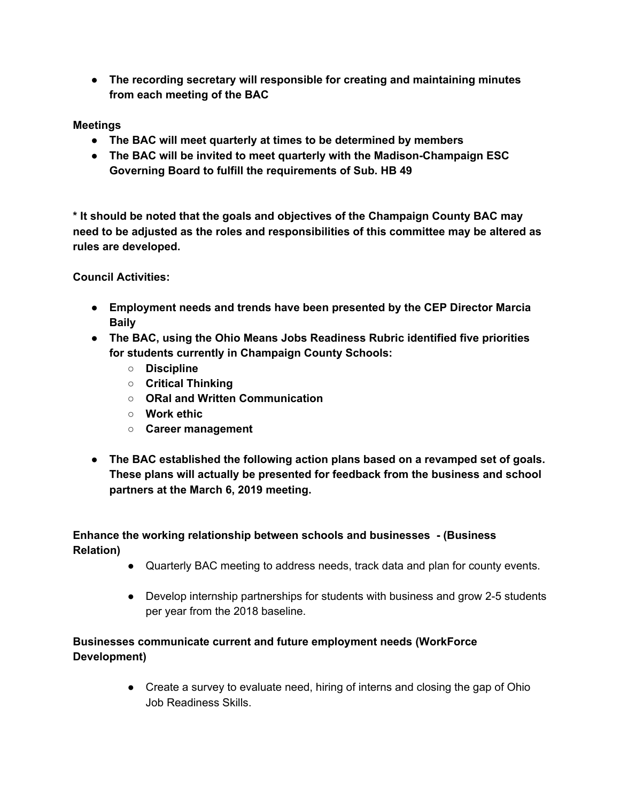**● The recording secretary will responsible for creating and maintaining minutes from each meeting of the BAC**

### **Meetings**

- **● The BAC will meet quarterly at times to be determined by members**
- **● The BAC will be invited to meet quarterly with the Madison-Champaign ESC Governing Board to fulfill the requirements of Sub. HB 49**

**\* It should be noted that the goals and objectives of the Champaign County BAC may need to be adjusted as the roles and responsibilities of this committee may be altered as rules are developed.**

**Council Activities:**

- **● Employment needs and trends have been presented by the CEP Director Marcia Baily**
- **● The BAC, using the Ohio Means Jobs Readiness Rubric identified five priorities for students currently in Champaign County Schools:**
	- **○ Discipline**
	- **○ Critical Thinking**
	- **○ ORal and Written Communication**
	- **○ Work ethic**
	- **○ Career management**
- **● The BAC established the following action plans based on a revamped set of goals. These plans will actually be presented for feedback from the business and school partners at the March 6, 2019 meeting.**

## **Enhance the working relationship between schools and businesses - (Business Relation)**

- Quarterly BAC meeting to address needs, track data and plan for county events.
- Develop internship partnerships for students with business and grow 2-5 students per year from the 2018 baseline.

## **Businesses communicate current and future employment needs (WorkForce Development)**

• Create a survey to evaluate need, hiring of interns and closing the gap of Ohio Job Readiness Skills.